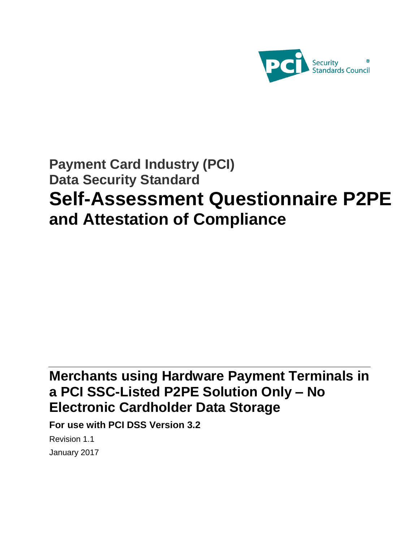

# **Payment Card Industry (PCI) Data Security Standard Self-Assessment Questionnaire P2PE and Attestation of Compliance**

# **Merchants using Hardware Payment Terminals in a PCI SSC-Listed P2PE Solution Only – No Electronic Cardholder Data Storage**

**For use with PCI DSS Version 3.2**

Revision 1.1 January 2017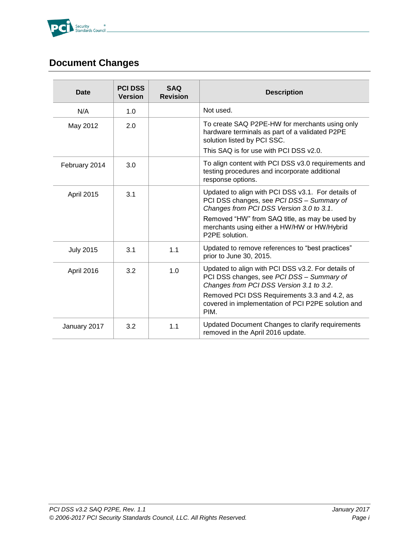

# **Document Changes**

| <b>Date</b>      | <b>PCI DSS</b><br><b>Version</b> | <b>SAQ</b><br><b>Revision</b> | <b>Description</b>                                                                                                                                                        |
|------------------|----------------------------------|-------------------------------|---------------------------------------------------------------------------------------------------------------------------------------------------------------------------|
| N/A              | 1.0                              |                               | Not used.                                                                                                                                                                 |
| May 2012         | 2.0                              |                               | To create SAQ P2PE-HW for merchants using only<br>hardware terminals as part of a validated P2PE<br>solution listed by PCI SSC.<br>This SAQ is for use with PCI DSS v2.0. |
| February 2014    | 3.0                              |                               | To align content with PCI DSS v3.0 requirements and<br>testing procedures and incorporate additional<br>response options.                                                 |
| April 2015       | 3.1                              |                               | Updated to align with PCI DSS v3.1. For details of<br>PCI DSS changes, see PCI DSS - Summary of<br>Changes from PCI DSS Version 3.0 to 3.1.                               |
|                  |                                  |                               | Removed "HW" from SAQ title, as may be used by<br>merchants using either a HW/HW or HW/Hybrid<br>P2PE solution.                                                           |
| <b>July 2015</b> | 3.1                              | 1.1                           | Updated to remove references to "best practices"<br>prior to June 30, 2015.                                                                                               |
| April 2016       | 3.2                              | 1.0                           | Updated to align with PCI DSS v3.2. For details of<br>PCI DSS changes, see PCI DSS - Summary of<br>Changes from PCI DSS Version 3.1 to 3.2.                               |
|                  |                                  |                               | Removed PCI DSS Requirements 3.3 and 4.2, as<br>covered in implementation of PCI P2PE solution and<br>PIM.                                                                |
| January 2017     | 3.2                              | 1.1                           | Updated Document Changes to clarify requirements<br>removed in the April 2016 update.                                                                                     |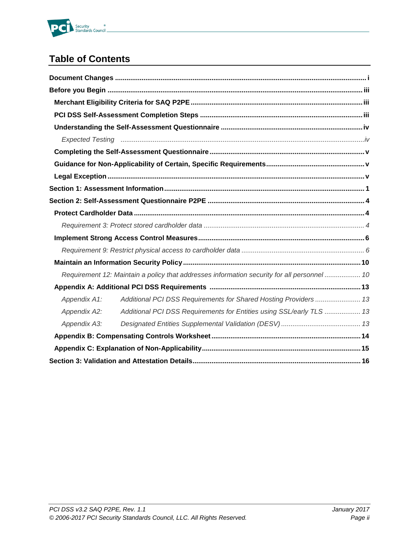

# **Table of Contents**

|              | Requirement 12: Maintain a policy that addresses information security for all personnel  10 |  |
|--------------|---------------------------------------------------------------------------------------------|--|
|              |                                                                                             |  |
| Appendix A1: | Additional PCI DSS Requirements for Shared Hosting Providers 13                             |  |
| Appendix A2: | Additional PCI DSS Requirements for Entities using SSL/early TLS  13                        |  |
| Appendix A3: |                                                                                             |  |
|              |                                                                                             |  |
|              |                                                                                             |  |
|              |                                                                                             |  |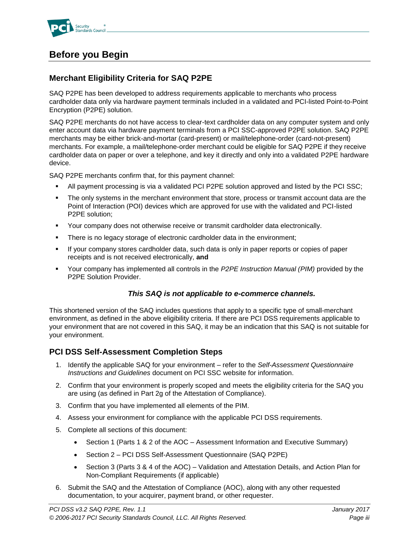

# **Before you Begin**

### **Merchant Eligibility Criteria for SAQ P2PE**

SAQ P2PE has been developed to address requirements applicable to merchants who process cardholder data only via hardware payment terminals included in a validated and PCI-listed Point-to-Point Encryption (P2PE) solution.

SAQ P2PE merchants do not have access to clear-text cardholder data on any computer system and only enter account data via hardware payment terminals from a PCI SSC-approved P2PE solution. SAQ P2PE merchants may be either brick-and-mortar (card-present) or mail/telephone-order (card-not-present) merchants. For example, a mail/telephone-order merchant could be eligible for SAQ P2PE if they receive cardholder data on paper or over a telephone, and key it directly and only into a validated P2PE hardware device.

SAQ P2PE merchants confirm that, for this payment channel:

- All payment processing is via a validated PCI P2PE solution approved and listed by the PCI SSC;
- The only systems in the merchant environment that store, process or transmit account data are the Point of Interaction (POI) devices which are approved for use with the validated and PCI-listed P2PE solution;
- Your company does not otherwise receive or transmit cardholder data electronically.
- There is no legacy storage of electronic cardholder data in the environment;
- If your company stores cardholder data, such data is only in paper reports or copies of paper receipts and is not received electronically, **and**
- Your company has implemented all controls in the *P2PE Instruction Manual (PIM)* provided by the P2PE Solution Provider.

### *This SAQ is not applicable to e-commerce channels.*

This shortened version of the SAQ includes questions that apply to a specific type of small-merchant environment, as defined in the above eligibility criteria. If there are PCI DSS requirements applicable to your environment that are not covered in this SAQ, it may be an indication that this SAQ is not suitable for your environment.

### **PCI DSS Self-Assessment Completion Steps**

- 1. Identify the applicable SAQ for your environment refer to the *Self-Assessment Questionnaire Instructions and Guidelines* document on PCI SSC website for information.
- 2. Confirm that your environment is properly scoped and meets the eligibility criteria for the SAQ you are using (as defined in Part 2g of the Attestation of Compliance).
- 3. Confirm that you have implemented all elements of the PIM.
- 4. Assess your environment for compliance with the applicable PCI DSS requirements.
- 5. Complete all sections of this document:
	- Section 1 (Parts 1 & 2 of the AOC Assessment Information and Executive Summary)
	- Section 2 PCI DSS Self-Assessment Questionnaire (SAQ P2PE)
	- Section 3 (Parts 3 & 4 of the AOC) Validation and Attestation Details, and Action Plan for Non-Compliant Requirements (if applicable)
- 6. Submit the SAQ and the Attestation of Compliance (AOC), along with any other requested documentation, to your acquirer, payment brand, or other requester.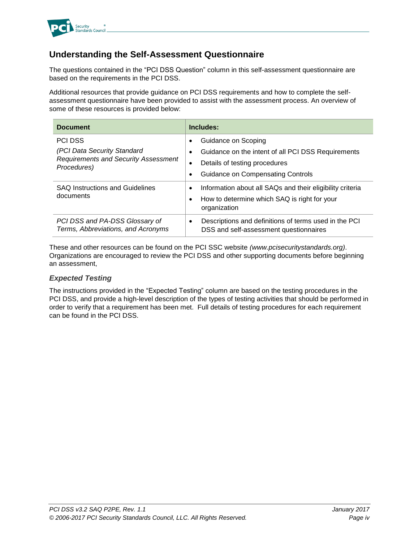

### **Understanding the Self-Assessment Questionnaire**

The questions contained in the "PCI DSS Question" column in this self-assessment questionnaire are based on the requirements in the PCI DSS.

Additional resources that provide guidance on PCI DSS requirements and how to complete the selfassessment questionnaire have been provided to assist with the assessment process. An overview of some of these resources is provided below:

| <b>Document</b>                                                                                             | Includes:                                                                                                                                                        |
|-------------------------------------------------------------------------------------------------------------|------------------------------------------------------------------------------------------------------------------------------------------------------------------|
| <b>PCI DSS</b><br>(PCI Data Security Standard<br><b>Requirements and Security Assessment</b><br>Procedures) | Guidance on Scoping<br>Guidance on the intent of all PCI DSS Requirements<br>Details of testing procedures<br>٠<br><b>Guidance on Compensating Controls</b><br>٠ |
| <b>SAQ Instructions and Guidelines</b><br>documents                                                         | Information about all SAQs and their eligibility criteria<br>٠<br>How to determine which SAQ is right for your<br>٠<br>organization                              |
| PCI DSS and PA-DSS Glossary of<br>Terms, Abbreviations, and Acronyms                                        | Descriptions and definitions of terms used in the PCI<br>٠<br>DSS and self-assessment questionnaires                                                             |

These and other resources can be found on the PCI SSC website *(www.pcisecuritystandards.org)*. Organizations are encouraged to review the PCI DSS and other supporting documents before beginning an assessment,

### *Expected Testing*

The instructions provided in the "Expected Testing" column are based on the testing procedures in the PCI DSS, and provide a high-level description of the types of testing activities that should be performed in order to verify that a requirement has been met. Full details of testing procedures for each requirement can be found in the PCI DSS.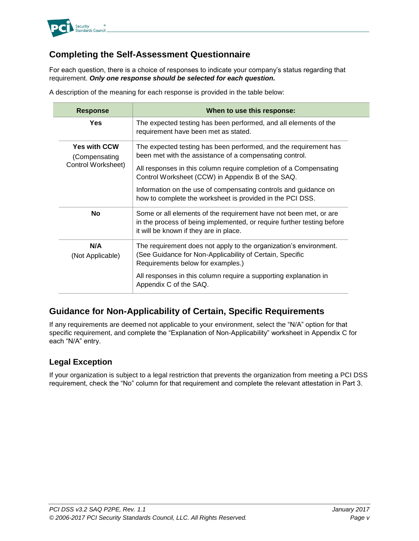

### **Completing the Self-Assessment Questionnaire**

For each question, there is a choice of responses to indicate your company's status regarding that requirement. *Only one response should be selected for each question.*

A description of the meaning for each response is provided in the table below:

| <b>Response</b>                                            | When to use this response:                                                                                                                                                                                                                                                                                                                                                            |
|------------------------------------------------------------|---------------------------------------------------------------------------------------------------------------------------------------------------------------------------------------------------------------------------------------------------------------------------------------------------------------------------------------------------------------------------------------|
| Yes                                                        | The expected testing has been performed, and all elements of the<br>requirement have been met as stated.                                                                                                                                                                                                                                                                              |
| <b>Yes with CCW</b><br>(Compensating<br>Control Worksheet) | The expected testing has been performed, and the requirement has<br>been met with the assistance of a compensating control.<br>All responses in this column require completion of a Compensating<br>Control Worksheet (CCW) in Appendix B of the SAQ.<br>Information on the use of compensating controls and guidance on<br>how to complete the worksheet is provided in the PCI DSS. |
| <b>No</b>                                                  | Some or all elements of the requirement have not been met, or are<br>in the process of being implemented, or require further testing before<br>it will be known if they are in place.                                                                                                                                                                                                 |
| N/A<br>(Not Applicable)                                    | The requirement does not apply to the organization's environment.<br>(See Guidance for Non-Applicability of Certain, Specific<br>Requirements below for examples.)                                                                                                                                                                                                                    |
|                                                            | All responses in this column require a supporting explanation in<br>Appendix C of the SAQ.                                                                                                                                                                                                                                                                                            |

### **Guidance for Non-Applicability of Certain, Specific Requirements**

If any requirements are deemed not applicable to your environment, select the "N/A" option for that specific requirement, and complete the "Explanation of Non-Applicability" worksheet in Appendix C for each "N/A" entry.

### **Legal Exception**

If your organization is subject to a legal restriction that prevents the organization from meeting a PCI DSS requirement, check the "No" column for that requirement and complete the relevant attestation in Part 3.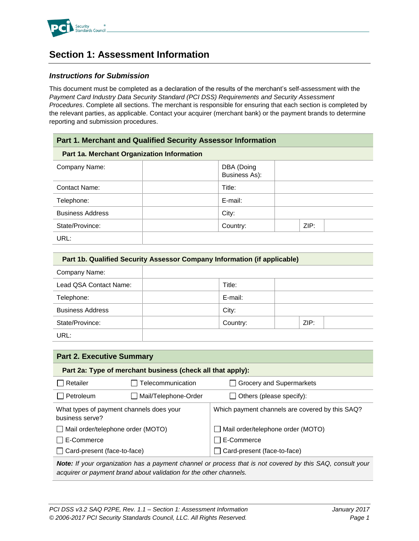

# **Section 1: Assessment Information**

### *Instructions for Submission*

This document must be completed as a declaration of the results of the merchant's self-assessment with the *Payment Card Industry Data Security Standard (PCI DSS) Requirements and Security Assessment Procedures*. Complete all sections. The merchant is responsible for ensuring that each section is completed by the relevant parties, as applicable. Contact your acquirer (merchant bank) or the payment brands to determine reporting and submission procedures.

| <b>Part 1. Merchant and Qualified Security Assessor Information</b> |                             |      |  |
|---------------------------------------------------------------------|-----------------------------|------|--|
| Part 1a. Merchant Organization Information                          |                             |      |  |
| Company Name:                                                       | DBA (Doing<br>Business As): |      |  |
| <b>Contact Name:</b>                                                | Title:                      |      |  |
| Telephone:                                                          | E-mail:                     |      |  |
| <b>Business Address</b>                                             | City:                       |      |  |
| State/Province:                                                     | Country:                    | ZIP: |  |
| URL:                                                                |                             |      |  |

| Part 1b. Qualified Security Assessor Company Information (if applicable) |          |      |  |
|--------------------------------------------------------------------------|----------|------|--|
| Company Name:                                                            |          |      |  |
| Lead QSA Contact Name:                                                   | Title:   |      |  |
| Telephone:                                                               | E-mail:  |      |  |
| <b>Business Address</b>                                                  | City:    |      |  |
| State/Province:                                                          | Country: | ZIP: |  |
| URL:                                                                     |          |      |  |

| <b>Part 2. Executive Summary</b>                                                                          |                      |                                                 |  |  |
|-----------------------------------------------------------------------------------------------------------|----------------------|-------------------------------------------------|--|--|
| Part 2a: Type of merchant business (check all that apply):                                                |                      |                                                 |  |  |
| Retailer                                                                                                  | Telecommunication    | <b>Grocery and Supermarkets</b>                 |  |  |
| Petroleum                                                                                                 | Mail/Telephone-Order | Others (please specify):                        |  |  |
| What types of payment channels does your<br>business serve?                                               |                      | Which payment channels are covered by this SAQ? |  |  |
| Mail order/telephone order (MOTO)                                                                         |                      | Mail order/telephone order (MOTO)               |  |  |
| E-Commerce                                                                                                |                      | E-Commerce                                      |  |  |
| Card-present (face-to-face)                                                                               |                      | Card-present (face-to-face)                     |  |  |
| Note: If your emanization has a nayment channel or process that is not covered by this $SAO$ consult your |                      |                                                 |  |  |

*Note:* If your organization has a payment channel or process that is not covered by this SAQ, constitution *acquirer or payment brand about validation for the other channels.*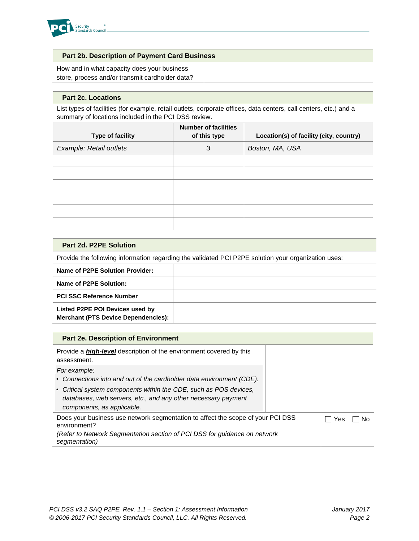

### **Part 2b. Description of Payment Card Business**

How and in what capacity does your business store, process and/or transmit cardholder data?

#### **Part 2c. Locations**

List types of facilities (for example, retail outlets, corporate offices, data centers, call centers, etc.) and a summary of locations included in the PCI DSS review.

| Type of facility        | <b>Number of facilities</b><br>of this type | Location(s) of facility (city, country) |
|-------------------------|---------------------------------------------|-----------------------------------------|
| Example: Retail outlets | 3                                           | Boston, MA, USA                         |
|                         |                                             |                                         |
|                         |                                             |                                         |
|                         |                                             |                                         |
|                         |                                             |                                         |
|                         |                                             |                                         |
|                         |                                             |                                         |

| Part 2d. P2PE Solution                                                                              |  |  |
|-----------------------------------------------------------------------------------------------------|--|--|
| Provide the following information regarding the validated PCI P2PE solution your organization uses: |  |  |
| Name of P2PE Solution Provider:                                                                     |  |  |
| Name of P2PE Solution:                                                                              |  |  |
| <b>PCI SSC Reference Number</b>                                                                     |  |  |

**Listed P2PE POI Devices used by Merchant (PTS Device Dependencies):**

| <b>Part 2e. Description of Environment</b>                                                                                                                                                                                                               |     |    |
|----------------------------------------------------------------------------------------------------------------------------------------------------------------------------------------------------------------------------------------------------------|-----|----|
| Provide a <i>high-level</i> description of the environment covered by this<br>assessment.                                                                                                                                                                |     |    |
| For example:<br>• Connections into and out of the cardholder data environment (CDE).<br>• Critical system components within the CDE, such as POS devices,<br>databases, web servers, etc., and any other necessary payment<br>components, as applicable. |     |    |
| Does your business use network segmentation to affect the scope of your PCI DSS<br>environment?<br>(Refer to Network Segmentation section of PCI DSS for guidance on network<br>segmentation)                                                            | Yes | Nο |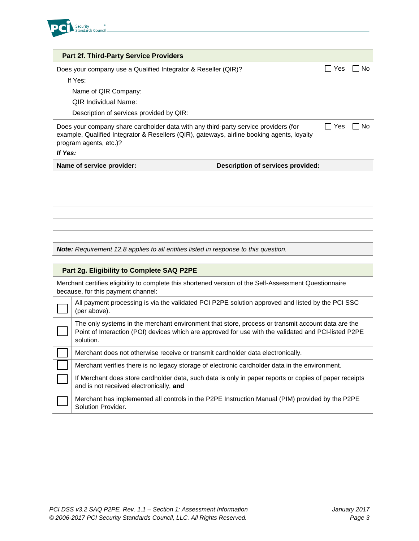

| <b>Part 2f. Third-Party Service Providers</b>                                                                                                                                                                          |                                   |     |    |
|------------------------------------------------------------------------------------------------------------------------------------------------------------------------------------------------------------------------|-----------------------------------|-----|----|
| Does your company use a Qualified Integrator & Reseller (QIR)?                                                                                                                                                         |                                   | Yes | N٥ |
| If Yes:                                                                                                                                                                                                                |                                   |     |    |
| Name of QIR Company:                                                                                                                                                                                                   |                                   |     |    |
| <b>QIR Individual Name:</b>                                                                                                                                                                                            |                                   |     |    |
| Description of services provided by QIR:                                                                                                                                                                               |                                   |     |    |
| Does your company share cardholder data with any third-party service providers (for<br>example, Qualified Integrator & Resellers (QIR), gateways, airline booking agents, loyalty<br>program agents, etc.)?<br>If Yes: |                                   | Yes | Nο |
| Name of service provider:                                                                                                                                                                                              | Description of services provided: |     |    |
|                                                                                                                                                                                                                        |                                   |     |    |
|                                                                                                                                                                                                                        |                                   |     |    |
|                                                                                                                                                                                                                        |                                   |     |    |
|                                                                                                                                                                                                                        |                                   |     |    |
|                                                                                                                                                                                                                        |                                   |     |    |
|                                                                                                                                                                                                                        |                                   |     |    |

*Note: Requirement 12.8 applies to all entities listed in response to this question.*

#### **Part 2g. Eligibility to Complete SAQ P2PE**

Merchant certifies eligibility to complete this shortened version of the Self-Assessment Questionnaire because, for this payment channel:

| All payment processing is via the validated PCI P2PE solution approved and listed by the PCI SSC<br>(per above).                                                                                                       |
|------------------------------------------------------------------------------------------------------------------------------------------------------------------------------------------------------------------------|
| The only systems in the merchant environment that store, process or transmit account data are the<br>Point of Interaction (POI) devices which are approved for use with the validated and PCI-listed P2PE<br>solution. |
| Merchant does not otherwise receive or transmit cardholder data electronically.                                                                                                                                        |
| Merchant verifies there is no legacy storage of electronic cardholder data in the environment.                                                                                                                         |
| If Merchant does store cardholder data, such data is only in paper reports or copies of paper receipts<br>and is not received electronically, and                                                                      |
| Merchant has implemented all controls in the P2PE Instruction Manual (PIM) provided by the P2PE<br>Solution Provider.                                                                                                  |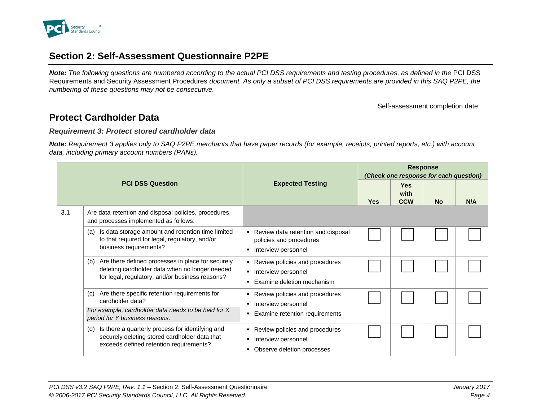

# **Section 2: Self-Assessment Questionnaire P2PE**

*Note: The following questions are numbered according to the actual PCI DSS requirements and testing procedures, as defined in the* PCI DSS Requirements and Security Assessment Procedures *document. As only a subset of PCI DSS requirements are provided in this SAQ P2PE, the numbering of these questions may not be consecutive.* 

Self-assessment completion date:

## **Protect Cardholder Data**

#### *Requirement 3: Protect stored cardholder data*

*Note: Requirement 3 applies only to SAQ P2PE merchants that have paper records (for example, receipts, printed reports, etc.) with account data, including primary account numbers (PANs).* 

|     |                                                                                                                                                                                       |                                                                                         | <b>Response</b><br>(Check one response for each question) |                                  |           |     |  |
|-----|---------------------------------------------------------------------------------------------------------------------------------------------------------------------------------------|-----------------------------------------------------------------------------------------|-----------------------------------------------------------|----------------------------------|-----------|-----|--|
|     | <b>PCI DSS Question</b>                                                                                                                                                               | <b>Expected Testing</b>                                                                 | <b>Yes</b>                                                | <b>Yes</b><br>with<br><b>CCW</b> | <b>No</b> | N/A |  |
| 3.1 | Are data-retention and disposal policies, procedures,<br>and processes implemented as follows:                                                                                        |                                                                                         |                                                           |                                  |           |     |  |
|     | Is data storage amount and retention time limited<br>(a)<br>to that required for legal, regulatory, and/or<br>business requirements?                                                  | Review data retention and disposal<br>policies and procedures<br>Interview personnel    |                                                           |                                  |           |     |  |
|     | Are there defined processes in place for securely<br>(b)<br>deleting cardholder data when no longer needed<br>for legal, regulatory, and/or business reasons?                         | Review policies and procedures<br>Interview personnel<br>Examine deletion mechanism     |                                                           |                                  |           |     |  |
|     | Are there specific retention requirements for<br>(c)<br>cardholder data?<br>For example, cardholder data needs to be held for X                                                       | Review policies and procedures<br>Interview personnel<br>Examine retention requirements |                                                           |                                  |           |     |  |
|     | period for Y business reasons.<br>Is there a quarterly process for identifying and<br>(d)<br>securely deleting stored cardholder data that<br>exceeds defined retention requirements? | Review policies and procedures<br>Interview personnel<br>Observe deletion processes     |                                                           |                                  |           |     |  |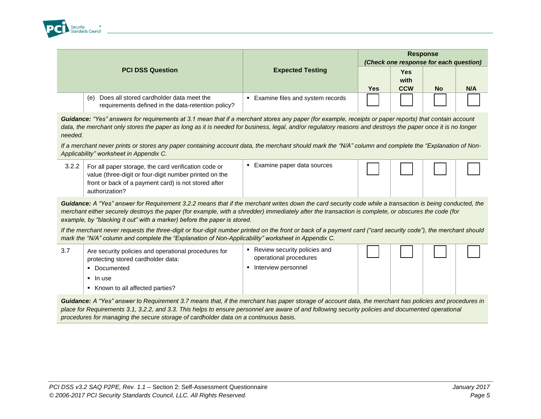

|                                                                                                       | <b>Expected Testing</b>          | <b>Response</b><br>(Check one response for each question) |             |           |     |  |
|-------------------------------------------------------------------------------------------------------|----------------------------------|-----------------------------------------------------------|-------------|-----------|-----|--|
| <b>PCI DSS Question</b>                                                                               |                                  |                                                           | Yes<br>with |           |     |  |
|                                                                                                       |                                  | Yes                                                       | <b>CCW</b>  | <b>No</b> | N/A |  |
| Does all stored cardholder data meet the<br>(e)<br>requirements defined in the data-retention policy? | Examine files and system records |                                                           |             |           |     |  |

*Guidance: "Yes" answers for requirements at 3.1 mean that if a merchant stores any paper (for example, receipts or paper reports) that contain account*  data, the merchant only stores the paper as long as it is needed for business, legal, and/or regulatory reasons and destroys the paper once it is no longer *needed.*

*If a merchant never prints or stores any paper containing account data, the merchant should mark the "N/A" column and complete the "Explanation of Non-Applicability" worksheet in Appendix C.*

| authorization? | 3.2.2 | For all paper storage, the card verification code or<br>value (three-digit or four-digit number printed on the<br>front or back of a payment card) is not stored after | Examine paper data sources |  |  |  |  |
|----------------|-------|------------------------------------------------------------------------------------------------------------------------------------------------------------------------|----------------------------|--|--|--|--|
|----------------|-------|------------------------------------------------------------------------------------------------------------------------------------------------------------------------|----------------------------|--|--|--|--|

*Guidance: A "Yes" answer for Requirement 3.2.2 means that if the merchant writes down the card security code while a transaction is being conducted, the merchant either securely destroys the paper (for example, with a shredder) immediately after the transaction is complete, or obscures the code (for example, by "blacking it out" with a marker) before the paper is stored.*

*If the merchant never requests the three-digit or four-digit number printed on the front or back of a payment card ("card security code"), the merchant should mark the "N/A" column and complete the "Explanation of Non-Applicability" worksheet in Appendix C.*

| 3.7 | Are security policies and operational procedures for<br>protecting stored cardholder data:<br>Documented | Review security policies and<br>operational procedures<br>Interview personnel |  |  |
|-----|----------------------------------------------------------------------------------------------------------|-------------------------------------------------------------------------------|--|--|
|     | ■ In use                                                                                                 |                                                                               |  |  |
|     | Known to all affected parties?                                                                           |                                                                               |  |  |

*Guidance: A "Yes" answer to Requirement 3.7 means that, if the merchant has paper storage of account data, the merchant has policies and procedures in place for Requirements 3.1, 3.2.2, and 3.3. This helps to ensure personnel are aware of and following security policies and documented operational procedures for managing the secure storage of cardholder data on a continuous basis.*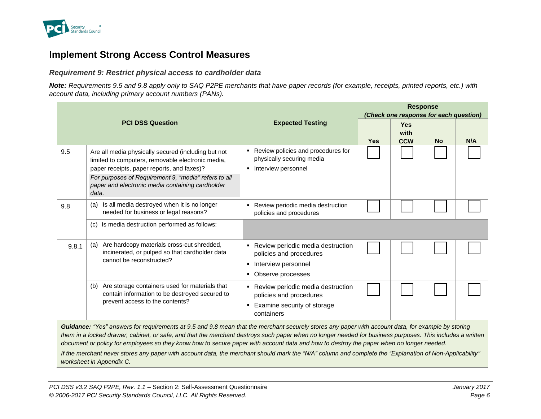

## **Implement Strong Access Control Measures**

### *Requirement 9: Restrict physical access to cardholder data*

*Note: Requirements 9.5 and 9.8 apply only to SAQ P2PE merchants that have paper records (for example, receipts, printed reports, etc.) with account data, including primary account numbers (PANs).*

|       |                                                                                                                                                                                                                                                                             |                                                                                                                    | <b>Response</b><br>(Check one response for each question) |                                  |           |     |  |
|-------|-----------------------------------------------------------------------------------------------------------------------------------------------------------------------------------------------------------------------------------------------------------------------------|--------------------------------------------------------------------------------------------------------------------|-----------------------------------------------------------|----------------------------------|-----------|-----|--|
|       | <b>PCI DSS Question</b>                                                                                                                                                                                                                                                     | <b>Expected Testing</b>                                                                                            | <b>Yes</b>                                                | <b>Yes</b><br>with<br><b>CCW</b> | <b>No</b> | N/A |  |
| 9.5   | Are all media physically secured (including but not<br>limited to computers, removable electronic media,<br>paper receipts, paper reports, and faxes)?<br>For purposes of Requirement 9, "media" refers to all<br>paper and electronic media containing cardholder<br>data. | Review policies and procedures for<br>٠<br>physically securing media<br>• Interview personnel                      |                                                           |                                  |           |     |  |
| 9.8   | Is all media destroyed when it is no longer<br>(a)<br>needed for business or legal reasons?                                                                                                                                                                                 | Review periodic media destruction<br>٠<br>policies and procedures                                                  |                                                           |                                  |           |     |  |
|       | Is media destruction performed as follows:<br>(c)                                                                                                                                                                                                                           |                                                                                                                    |                                                           |                                  |           |     |  |
| 9.8.1 | Are hardcopy materials cross-cut shredded,<br>(a)<br>incinerated, or pulped so that cardholder data<br>cannot be reconstructed?                                                                                                                                             | Review periodic media destruction<br>policies and procedures<br>Interview personnel<br>٠<br>Observe processes<br>٠ |                                                           |                                  |           |     |  |
|       | Are storage containers used for materials that<br>(b)<br>contain information to be destroyed secured to<br>prevent access to the contents?                                                                                                                                  | Review periodic media destruction<br>policies and procedures<br>Examine security of storage<br>٠<br>containers     |                                                           |                                  |           |     |  |

*Guidance: "Yes" answers for requirements at 9.5 and 9.8 mean that the merchant securely stores any paper with account data, for example by storing them in a locked drawer, cabinet, or safe, and that the merchant destroys such paper when no longer needed for business purposes. This includes a written document or policy for employees so they know how to secure paper with account data and how to destroy the paper when no longer needed.*

*If the merchant never stores any paper with account data, the merchant should mark the "N/A" column and complete the "Explanation of Non-Applicability" worksheet in Appendix C.*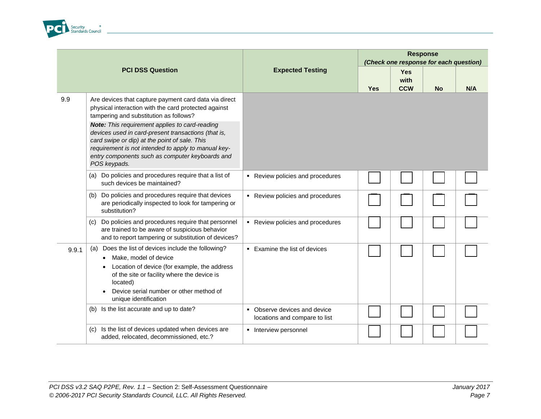

|       |                                                                                                                                                                                                                                                                                                                                                                                                                                             |                                                               |     | <b>Response</b><br>(Check one response for each question) |           |     |
|-------|---------------------------------------------------------------------------------------------------------------------------------------------------------------------------------------------------------------------------------------------------------------------------------------------------------------------------------------------------------------------------------------------------------------------------------------------|---------------------------------------------------------------|-----|-----------------------------------------------------------|-----------|-----|
|       | <b>PCI DSS Question</b>                                                                                                                                                                                                                                                                                                                                                                                                                     | <b>Expected Testing</b>                                       | Yes | <b>Yes</b><br>with<br><b>CCW</b>                          | <b>No</b> | N/A |
| 9.9   | Are devices that capture payment card data via direct<br>physical interaction with the card protected against<br>tampering and substitution as follows?<br>Note: This requirement applies to card-reading<br>devices used in card-present transactions (that is,<br>card swipe or dip) at the point of sale. This<br>requirement is not intended to apply to manual key-<br>entry components such as computer keyboards and<br>POS keypads. |                                                               |     |                                                           |           |     |
|       | (a) Do policies and procedures require that a list of<br>such devices be maintained?                                                                                                                                                                                                                                                                                                                                                        | Review policies and procedures                                |     |                                                           |           |     |
|       | Do policies and procedures require that devices<br>(b)<br>are periodically inspected to look for tampering or<br>substitution?                                                                                                                                                                                                                                                                                                              | Review policies and procedures                                |     |                                                           |           |     |
|       | Do policies and procedures require that personnel<br>(c)<br>are trained to be aware of suspicious behavior<br>and to report tampering or substitution of devices?                                                                                                                                                                                                                                                                           | • Review policies and procedures                              |     |                                                           |           |     |
| 9.9.1 | Does the list of devices include the following?<br>(a)<br>Make, model of device<br>Location of device (for example, the address<br>of the site or facility where the device is<br>located)<br>Device serial number or other method of<br>unique identification                                                                                                                                                                              | • Examine the list of devices                                 |     |                                                           |           |     |
|       | (b) Is the list accurate and up to date?                                                                                                                                                                                                                                                                                                                                                                                                    | • Observe devices and device<br>locations and compare to list |     |                                                           |           |     |
|       | Is the list of devices updated when devices are<br>(c)<br>added, relocated, decommissioned, etc.?                                                                                                                                                                                                                                                                                                                                           | • Interview personnel                                         |     |                                                           |           |     |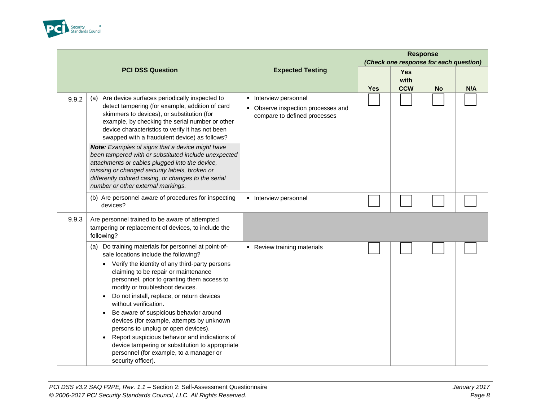

|       |                                                                                                                                                                                                                                                                                                                                                                                                                                                                                                                                                                                                                                                                                  |                                                                                             | <b>Response</b><br>(Check one response for each question) |                                  |           |     |  |
|-------|----------------------------------------------------------------------------------------------------------------------------------------------------------------------------------------------------------------------------------------------------------------------------------------------------------------------------------------------------------------------------------------------------------------------------------------------------------------------------------------------------------------------------------------------------------------------------------------------------------------------------------------------------------------------------------|---------------------------------------------------------------------------------------------|-----------------------------------------------------------|----------------------------------|-----------|-----|--|
|       | <b>PCI DSS Question</b>                                                                                                                                                                                                                                                                                                                                                                                                                                                                                                                                                                                                                                                          | <b>Expected Testing</b>                                                                     | <b>Yes</b>                                                | <b>Yes</b><br>with<br><b>CCW</b> | <b>No</b> | N/A |  |
| 9.9.2 | Are device surfaces periodically inspected to<br>(a)<br>detect tampering (for example, addition of card<br>skimmers to devices), or substitution (for<br>example, by checking the serial number or other<br>device characteristics to verify it has not been<br>swapped with a fraudulent device) as follows?                                                                                                                                                                                                                                                                                                                                                                    | • Interview personnel<br>• Observe inspection processes and<br>compare to defined processes |                                                           |                                  |           |     |  |
|       | Note: Examples of signs that a device might have<br>been tampered with or substituted include unexpected<br>attachments or cables plugged into the device,<br>missing or changed security labels, broken or<br>differently colored casing, or changes to the serial<br>number or other external markings.                                                                                                                                                                                                                                                                                                                                                                        |                                                                                             |                                                           |                                  |           |     |  |
|       | (b) Are personnel aware of procedures for inspecting<br>devices?                                                                                                                                                                                                                                                                                                                                                                                                                                                                                                                                                                                                                 | • Interview personnel                                                                       |                                                           |                                  |           |     |  |
| 9.9.3 | Are personnel trained to be aware of attempted<br>tampering or replacement of devices, to include the<br>following?                                                                                                                                                                                                                                                                                                                                                                                                                                                                                                                                                              |                                                                                             |                                                           |                                  |           |     |  |
|       | Do training materials for personnel at point-of-<br>(a)<br>sale locations include the following?<br>Verify the identity of any third-party persons<br>$\bullet$<br>claiming to be repair or maintenance<br>personnel, prior to granting them access to<br>modify or troubleshoot devices.<br>Do not install, replace, or return devices<br>without verification.<br>Be aware of suspicious behavior around<br>$\bullet$<br>devices (for example, attempts by unknown<br>persons to unplug or open devices).<br>Report suspicious behavior and indications of<br>device tampering or substitution to appropriate<br>personnel (for example, to a manager or<br>security officer). | • Review training materials                                                                 |                                                           |                                  |           |     |  |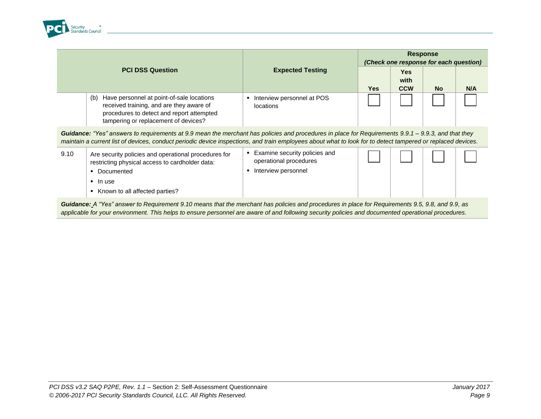

|                                                                                                                                                                                                                                                                                                                    |                                                                                                                                                                                                                                                                                                         |                                                                                | <b>Response</b><br>(Check one response for each question) |                                  |           |     |  |  |  |
|--------------------------------------------------------------------------------------------------------------------------------------------------------------------------------------------------------------------------------------------------------------------------------------------------------------------|---------------------------------------------------------------------------------------------------------------------------------------------------------------------------------------------------------------------------------------------------------------------------------------------------------|--------------------------------------------------------------------------------|-----------------------------------------------------------|----------------------------------|-----------|-----|--|--|--|
|                                                                                                                                                                                                                                                                                                                    | <b>PCI DSS Question</b>                                                                                                                                                                                                                                                                                 | <b>Expected Testing</b>                                                        | <b>Yes</b>                                                | <b>Yes</b><br>with<br><b>CCW</b> | <b>No</b> | N/A |  |  |  |
|                                                                                                                                                                                                                                                                                                                    | Have personnel at point-of-sale locations<br>(b)<br>received training, and are they aware of<br>procedures to detect and report attempted<br>tampering or replacement of devices?                                                                                                                       | Interview personnel at POS<br>locations                                        |                                                           |                                  |           |     |  |  |  |
| Guidance: "Yes" answers to requirements at 9.9 mean the merchant has policies and procedures in place for Requirements 9.9.1 – 9.9.3, and that they<br>maintain a current list of devices, conduct periodic device inspections, and train employees about what to look for to detect tampered or replaced devices. |                                                                                                                                                                                                                                                                                                         |                                                                                |                                                           |                                  |           |     |  |  |  |
| 9.10                                                                                                                                                                                                                                                                                                               | Are security policies and operational procedures for<br>restricting physical access to cardholder data:<br>• Documented<br>$\blacksquare$ In use<br>Known to all affected parties?                                                                                                                      | Examine security policies and<br>operational procedures<br>Interview personnel |                                                           |                                  |           |     |  |  |  |
|                                                                                                                                                                                                                                                                                                                    | Guidance: A "Yes" answer to Requirement 9.10 means that the merchant has policies and procedures in place for Requirements 9.5, 9.8, and 9.9, as<br>applicable for your environment. This helps to ensure personnel are aware of and following security policies and documented operational procedures. |                                                                                |                                                           |                                  |           |     |  |  |  |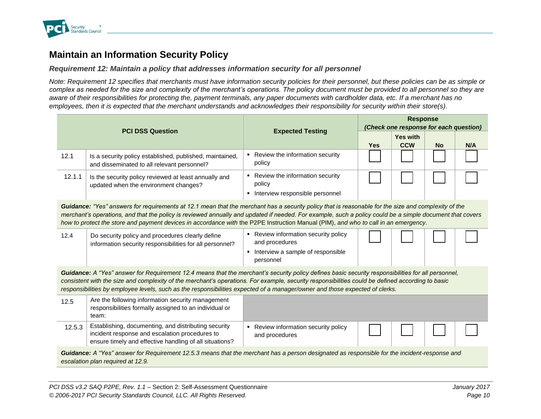

# **Maintain an Information Security Policy**

### *Requirement 12: Maintain a policy that addresses information security for all personnel*

*Note: Requirement 12 specifies that merchants must have information security policies for their personnel, but these policies can be as simple or complex as needed for the size and complexity of the merchant's operations. The policy document must be provided to all personnel so they are aware of their responsibilities for protecting the, payment terminals, any paper documents with cardholder data, etc. If a merchant has no employees, then it is expected that the merchant understands and acknowledges their responsibility for security within their store(s).*

|                                                                                                                                                                                                                                                                                                                                                                                                                                                        |                                                                                                                                                                                   |                                                                                                            | <b>Response</b><br>(Check one response for each question) |                 |           |     |  |  |
|--------------------------------------------------------------------------------------------------------------------------------------------------------------------------------------------------------------------------------------------------------------------------------------------------------------------------------------------------------------------------------------------------------------------------------------------------------|-----------------------------------------------------------------------------------------------------------------------------------------------------------------------------------|------------------------------------------------------------------------------------------------------------|-----------------------------------------------------------|-----------------|-----------|-----|--|--|
|                                                                                                                                                                                                                                                                                                                                                                                                                                                        | <b>PCI DSS Question</b>                                                                                                                                                           | <b>Expected Testing</b>                                                                                    |                                                           | <b>Yes with</b> |           |     |  |  |
|                                                                                                                                                                                                                                                                                                                                                                                                                                                        |                                                                                                                                                                                   |                                                                                                            | Yes                                                       | <b>CCW</b>      | <b>No</b> | N/A |  |  |
| 12.1                                                                                                                                                                                                                                                                                                                                                                                                                                                   | Is a security policy established, published, maintained,<br>and disseminated to all relevant personnel?                                                                           | • Review the information security<br>policy                                                                |                                                           |                 |           |     |  |  |
| 12.1.1                                                                                                                                                                                                                                                                                                                                                                                                                                                 | Is the security policy reviewed at least annually and<br>updated when the environment changes?                                                                                    | • Review the information security<br>policy<br>Interview responsible personnel<br>٠                        |                                                           |                 |           |     |  |  |
| Guidance: "Yes" answers for requirements at 12.1 mean that the merchant has a security policy that is reasonable for the size and complexity of the<br>merchant's operations, and that the policy is reviewed annually and updated if needed. For example, such a policy could be a simple document that covers<br>how to protect the store and payment devices in accordance with the P2PE Instruction Manual (PIM), and who to call in an emergency. |                                                                                                                                                                                   |                                                                                                            |                                                           |                 |           |     |  |  |
| 12.4                                                                                                                                                                                                                                                                                                                                                                                                                                                   | Do security policy and procedures clearly define<br>information security responsibilities for all personnel?                                                                      | • Review information security policy<br>and procedures<br>• Interview a sample of responsible<br>personnel |                                                           |                 |           |     |  |  |
| Guidance: A "Yes" answer for Requirement 12.4 means that the merchant's security policy defines basic security responsibilities for all personnel,<br>consistent with the size and complexity of the merchant's operations. For example, security responsibilities could be defined according to basic<br>responsibilities by employee levels, such as the responsibilities expected of a manager/owner and those expected of clerks.                  |                                                                                                                                                                                   |                                                                                                            |                                                           |                 |           |     |  |  |
| 12.5                                                                                                                                                                                                                                                                                                                                                                                                                                                   | Are the following information security management<br>responsibilities formally assigned to an individual or<br>team:                                                              |                                                                                                            |                                                           |                 |           |     |  |  |
| 12.5.3                                                                                                                                                                                                                                                                                                                                                                                                                                                 | Establishing, documenting, and distributing security<br>incident response and escalation procedures to<br>ensure timely and effective handling of all situations?                 | Review information security policy<br>٠.<br>and procedures                                                 |                                                           |                 |           |     |  |  |
|                                                                                                                                                                                                                                                                                                                                                                                                                                                        | Guidance: A "Yes" answer for Requirement 12.5.3 means that the merchant has a person designated as responsible for the incident-response and<br>escalation plan required at 12.9. |                                                                                                            |                                                           |                 |           |     |  |  |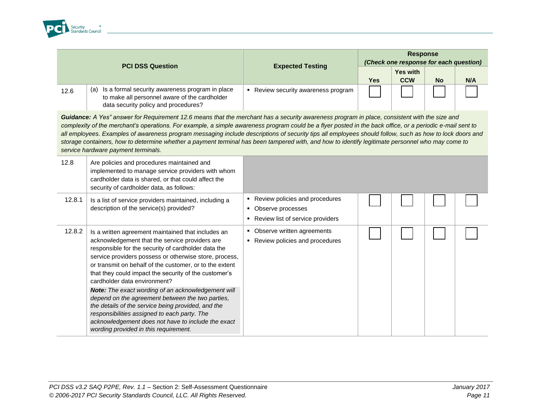

|                                                                                                                                                                                                                                                                                                                                                                                                                                                                                                                                                                                                                                                                 | <b>PCI DSS Question</b>                                                                                                                                                                                                                                                                                                                                                                                                                                                                                                                                                                                                                                                                  | <b>Expected Testing</b>                                                                     | <b>Response</b><br>(Check one response for each question) |                               |           |     |  |
|-----------------------------------------------------------------------------------------------------------------------------------------------------------------------------------------------------------------------------------------------------------------------------------------------------------------------------------------------------------------------------------------------------------------------------------------------------------------------------------------------------------------------------------------------------------------------------------------------------------------------------------------------------------------|------------------------------------------------------------------------------------------------------------------------------------------------------------------------------------------------------------------------------------------------------------------------------------------------------------------------------------------------------------------------------------------------------------------------------------------------------------------------------------------------------------------------------------------------------------------------------------------------------------------------------------------------------------------------------------------|---------------------------------------------------------------------------------------------|-----------------------------------------------------------|-------------------------------|-----------|-----|--|
|                                                                                                                                                                                                                                                                                                                                                                                                                                                                                                                                                                                                                                                                 |                                                                                                                                                                                                                                                                                                                                                                                                                                                                                                                                                                                                                                                                                          |                                                                                             | <b>Yes</b>                                                | <b>Yes with</b><br><b>CCW</b> | <b>No</b> | N/A |  |
| 12.6                                                                                                                                                                                                                                                                                                                                                                                                                                                                                                                                                                                                                                                            | Is a formal security awareness program in place<br>(a)<br>to make all personnel aware of the cardholder<br>data security policy and procedures?                                                                                                                                                                                                                                                                                                                                                                                                                                                                                                                                          | • Review security awareness program                                                         |                                                           |                               |           |     |  |
| Guidance: A Yes" answer for Requirement 12.6 means that the merchant has a security awareness program in place, consistent with the size and<br>complexity of the merchant's operations. For example, a simple awareness program could be a flyer posted in the back office, or a periodic e-mail sent to<br>all employees. Examples of awareness program messaging include descriptions of security tips all employees should follow, such as how to lock doors and<br>storage containers, how to determine whether a payment terminal has been tampered with, and how to identify legitimate personnel who may come to<br>service hardware payment terminals. |                                                                                                                                                                                                                                                                                                                                                                                                                                                                                                                                                                                                                                                                                          |                                                                                             |                                                           |                               |           |     |  |
| 12.8                                                                                                                                                                                                                                                                                                                                                                                                                                                                                                                                                                                                                                                            | Are policies and procedures maintained and<br>implemented to manage service providers with whom<br>cardholder data is shared, or that could affect the<br>security of cardholder data, as follows:                                                                                                                                                                                                                                                                                                                                                                                                                                                                                       |                                                                                             |                                                           |                               |           |     |  |
| 12.8.1                                                                                                                                                                                                                                                                                                                                                                                                                                                                                                                                                                                                                                                          | Is a list of service providers maintained, including a<br>description of the service(s) provided?                                                                                                                                                                                                                                                                                                                                                                                                                                                                                                                                                                                        | • Review policies and procedures<br>• Observe processes<br>Review list of service providers |                                                           |                               |           |     |  |
| 12.8.2                                                                                                                                                                                                                                                                                                                                                                                                                                                                                                                                                                                                                                                          | Is a written agreement maintained that includes an<br>acknowledgement that the service providers are<br>responsible for the security of cardholder data the<br>service providers possess or otherwise store, process,<br>or transmit on behalf of the customer, or to the extent<br>that they could impact the security of the customer's<br>cardholder data environment?<br>Note: The exact wording of an acknowledgement will<br>depend on the agreement between the two parties,<br>the details of the service being provided, and the<br>responsibilities assigned to each party. The<br>acknowledgement does not have to include the exact<br>wording provided in this requirement. | • Observe written agreements<br>• Review policies and procedures                            |                                                           |                               |           |     |  |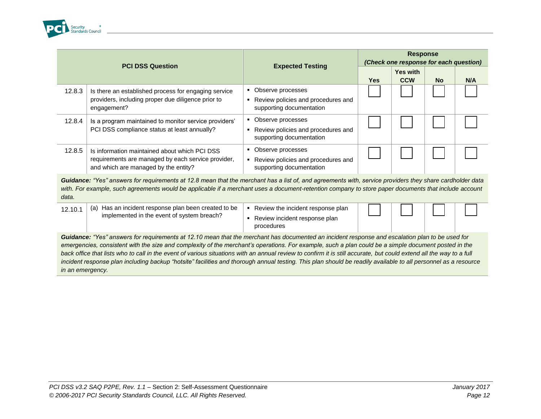

| <b>PCI DSS Question</b> |                                                                                            | <b>Expected Testing</b>                                        | <b>Response</b><br>(Check one response for each question) |                               |           |     |  |
|-------------------------|--------------------------------------------------------------------------------------------|----------------------------------------------------------------|-----------------------------------------------------------|-------------------------------|-----------|-----|--|
|                         |                                                                                            |                                                                | <b>Yes</b>                                                | <b>Yes with</b><br><b>CCW</b> | <b>No</b> | N/A |  |
| 12.8.3                  | Is there an established process for engaging service                                       | • Observe processes                                            |                                                           |                               |           |     |  |
|                         | providers, including proper due diligence prior to<br>engagement?                          | Review policies and procedures and<br>supporting documentation |                                                           |                               |           |     |  |
| 12.8.4                  | Is a program maintained to monitor service providers'                                      | Observe processes                                              |                                                           |                               |           |     |  |
|                         | PCI DSS compliance status at least annually?                                               | Review policies and procedures and<br>supporting documentation |                                                           |                               |           |     |  |
| 12.8.5                  | Is information maintained about which PCI DSS                                              | Observe processes                                              |                                                           |                               |           |     |  |
|                         | requirements are managed by each service provider,<br>and which are managed by the entity? | Review policies and procedures and<br>supporting documentation |                                                           |                               |           |     |  |

Guidance: "Yes" answers for requirements at 12.8 mean that the merchant has a list of, and agreements with, service providers they share cardholder data *with. For example, such agreements would be applicable if a merchant uses a document-retention company to store paper documents that include account data.* 

| 12.10.7 | Has an incident response plan been created to be<br>(a) | Review the incident response plan           |  |  |  |
|---------|---------------------------------------------------------|---------------------------------------------|--|--|--|
|         | implemented in the event of system breach?              | Review incident response plan<br>procedures |  |  |  |
|         |                                                         |                                             |  |  |  |

*Guidance: "Yes" answers for requirements at 12.10 mean that the merchant has documented an incident response and escalation plan to be used for emergencies, consistent with the size and complexity of the merchant's operations. For example, such a plan could be a simple document posted in the*  back office that lists who to call in the event of various situations with an annual review to confirm it is still accurate, but could extend all the way to a full incident response plan including backup "hotsite" facilities and thorough annual testing. This plan should be readily available to all personnel as a resource *in an emergency.*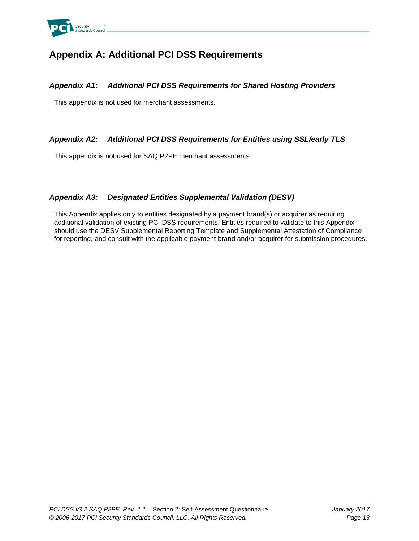

# **Appendix A: Additional PCI DSS Requirements**

### *Appendix A1: Additional PCI DSS Requirements for Shared Hosting Providers*

This appendix is not used for merchant assessments.

### *Appendix A2: Additional PCI DSS Requirements for Entities using SSL/early TLS*

This appendix is not used for SAQ P2PE merchant assessments

### *Appendix A3: Designated Entities Supplemental Validation (DESV)*

This Appendix applies only to entities designated by a payment brand(s) or acquirer as requiring additional validation of existing PCI DSS requirements. Entities required to validate to this Appendix should use the DESV Supplemental Reporting Template and Supplemental Attestation of Compliance for reporting, and consult with the applicable payment brand and/or acquirer for submission procedures.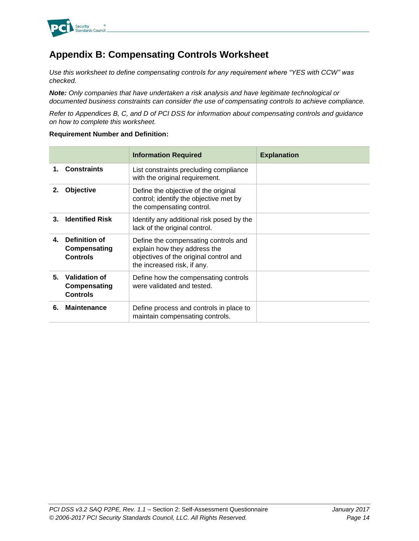

# **Appendix B: Compensating Controls Worksheet**

*Use this worksheet to define compensating controls for any requirement where "YES with CCW" was checked.*

*Note: Only companies that have undertaken a risk analysis and have legitimate technological or documented business constraints can consider the use of compensating controls to achieve compliance.*

*Refer to Appendices B, C, and D of PCI DSS for information about compensating controls and guidance on how to complete this worksheet.*

#### **Requirement Number and Definition:**

|    |                                                         | <b>Information Required</b>                                                                                                                   | <b>Explanation</b> |
|----|---------------------------------------------------------|-----------------------------------------------------------------------------------------------------------------------------------------------|--------------------|
|    | <b>Constraints</b>                                      | List constraints precluding compliance<br>with the original requirement.                                                                      |                    |
| 2. | Objective                                               | Define the objective of the original<br>control; identify the objective met by<br>the compensating control.                                   |                    |
| 3. | <b>Identified Risk</b>                                  | Identify any additional risk posed by the<br>lack of the original control.                                                                    |                    |
| 4. | Definition of<br>Compensating<br><b>Controls</b>        | Define the compensating controls and<br>explain how they address the<br>objectives of the original control and<br>the increased risk, if any. |                    |
| 5. | <b>Validation of</b><br>Compensating<br><b>Controls</b> | Define how the compensating controls<br>were validated and tested.                                                                            |                    |
| 6. | <b>Maintenance</b>                                      | Define process and controls in place to<br>maintain compensating controls.                                                                    |                    |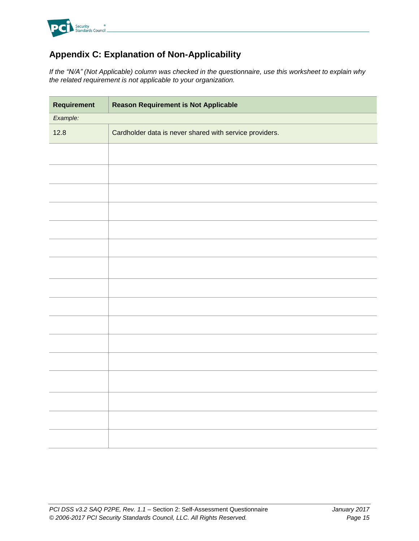

# **Appendix C: Explanation of Non-Applicability**

*If the "N/A" (Not Applicable) column was checked in the questionnaire, use this worksheet to explain why the related requirement is not applicable to your organization.*

| Requirement | <b>Reason Requirement is Not Applicable</b>             |  |
|-------------|---------------------------------------------------------|--|
| Example:    |                                                         |  |
| 12.8        | Cardholder data is never shared with service providers. |  |
|             |                                                         |  |
|             |                                                         |  |
|             |                                                         |  |
|             |                                                         |  |
|             |                                                         |  |
|             |                                                         |  |
|             |                                                         |  |
|             |                                                         |  |
|             |                                                         |  |
|             |                                                         |  |
|             |                                                         |  |
|             |                                                         |  |
|             |                                                         |  |
|             |                                                         |  |
|             |                                                         |  |
|             |                                                         |  |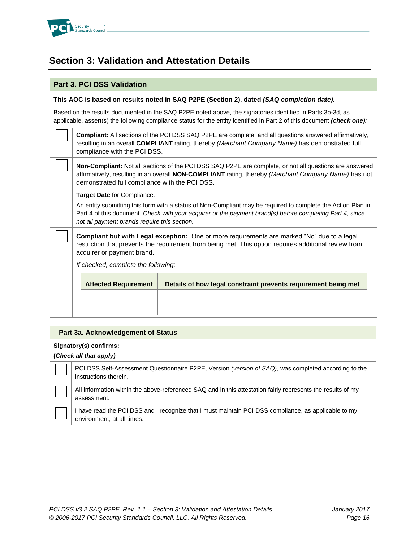

# **Section 3: Validation and Attestation Details**

### **Part 3. PCI DSS Validation**

#### **This AOC is based on results noted in SAQ P2PE (Section 2), dated** *(SAQ completion date).*

Based on the results documented in the SAQ P2PE noted above, the signatories identified in Parts 3b-3d, as applicable, assert(s) the following compliance status for the entity identified in Part 2 of this document *(check one):*

**Compliant:** All sections of the PCI DSS SAQ P2PE are complete, and all questions answered affirmatively, resulting in an overall **COMPLIANT** rating, thereby *(Merchant Company Name)* has demonstrated full compliance with the PCI DSS.

**Non-Compliant:** Not all sections of the PCI DSS SAQ P2PE are complete, or not all questions are answered affirmatively, resulting in an overall **NON-COMPLIANT** rating, thereby *(Merchant Company Name)* has not demonstrated full compliance with the PCI DSS.

**Target Date** for Compliance:

An entity submitting this form with a status of Non-Compliant may be required to complete the Action Plan in Part 4 of this document. *Check with your acquirer or the payment brand(s) before completing Part 4, since not all payment brands require this section.*

**Compliant but with Legal exception:** One or more requirements are marked "No" due to a legal restriction that prevents the requirement from being met. This option requires additional review from acquirer or payment brand.

*If checked, complete the following:*

| <b>Affected Requirement</b> | Details of how legal constraint prevents requirement being met |
|-----------------------------|----------------------------------------------------------------|
|                             |                                                                |
|                             |                                                                |

#### **Part 3a. Acknowledgement of Status**

#### **Signatory(s) confirms:**

**(***Check all that apply)*

г

PCI DSS Self-Assessment Questionnaire P2PE, Version *(version of SAQ)*, was completed according to the instructions therein. All information within the above-referenced SAQ and in this attestation fairly represents the results of my assessment.

I have read the PCI DSS and I recognize that I must maintain PCI DSS compliance, as applicable to my environment, at all times.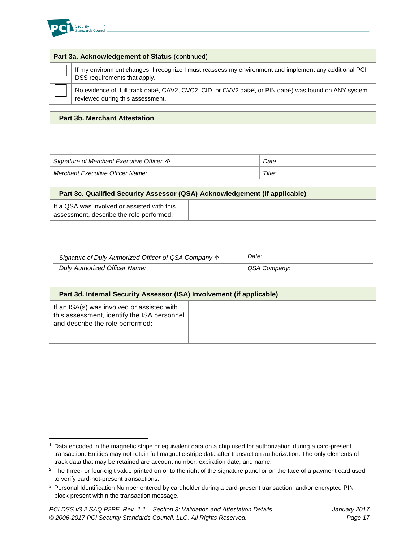

#### **Part 3a. Acknowledgement of Status** (continued)



l

If my environment changes, I recognize I must reassess my environment and implement any additional PCI DSS requirements that apply.

No evidence of, full track data<sup>1</sup>, CAV2, CVC2, CID, or CVV2 data<sup>2</sup>, or PIN data<sup>3</sup>) was found on ANY system reviewed during this assessment.

#### **Part 3b. Merchant Attestation**

| Signature of Merchant Executive Officer $\uparrow$ |  |
|----------------------------------------------------|--|
| Title.<br>Merchant Executive Officer Name:         |  |

#### **Part 3c. Qualified Security Assessor (QSA) Acknowledgement (if applicable)**

If a QSA was involved or assisted with this assessment, describe the role performed:

| Signature of Duly Authorized Officer of QSA Company $\uparrow$ | Date:        |
|----------------------------------------------------------------|--------------|
| Duly Authorized Officer Name:                                  | QSA Company: |

#### **Part 3d. Internal Security Assessor (ISA) Involvement (if applicable)**

If an ISA(s) was involved or assisted with this assessment, identify the ISA personnel and describe the role performed:

<sup>1</sup> Data encoded in the magnetic stripe or equivalent data on a chip used for authorization during a card-present transaction. Entities may not retain full magnetic-stripe data after transaction authorization. The only elements of track data that may be retained are account number, expiration date, and name.

 $2$  The three- or four-digit value printed on or to the right of the signature panel or on the face of a payment card used to verify card-not-present transactions.

<sup>&</sup>lt;sup>3</sup> Personal Identification Number entered by cardholder during a card-present transaction, and/or encrypted PIN block present within the transaction message.